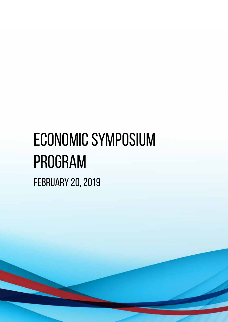# ECONOMIC symposium Program February 20, 2019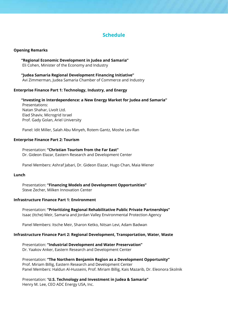# **Schedule**

## **Opening Remarks**

**"Regional Economic Development in Judea and Samaria"** Eli Cohen, Minister of the Economy and Industry

**"Judea Samaria Regional Development Financing Initiative"** Avi Zimmerman, Judea Samaria Chamber of Commerce and Industry

## **Enterprise Finance Part 1: Technology, Industry, and Energy**

**"Investing in Interdependence: a New Energy Market for Judea and Samaria"** Presentations: Natan Shahar, Livolt Ltd. Elad Shaviv, Microgrid Israel Prof. Gady Golan, Ariel University

Panel: Idit Miller, Salah Abu Minyeh, Rotem Gantz, Moshe Lev-Ran

## **Enterprise Finance Part 2: Tourism**

Presentation: **"Christian Tourism from the Far East"** Dr. Gideon Elazar, Eastern Research and Development Center

Panel Members: Ashraf Jabari, Dr. Gideon Elazar, Hugo Chan, Maia Wiener

#### **Lunch**

Presentation: **"Financing Models and Development Opportunities"** Steve Zecher, Milken Innovation Center

#### **Infrastructure Finance Part 1: Environment**

Presentation: **"Prioritizing Regional Rehabilitative Public Private Partnerships"** Isaac (Itche) Meir, Samaria and Jordan Valley Environmental Protection Agency

Panel Members: Itsche Meir, Sharon Ketko, Nitsan Levi, Adam Badwan

## **Infrastructure Finance Part 2: Regional Development, Transportation, Water, Waste**

Presentation: **"Industrial Development and Water Preservation"** Dr. Yaakov Anker, Eastern Research and Development Center

Presentation: **"The Northern Benjamin Region as a Development Opportunity"** Prof. Miriam Billig, Eastern Research and Development Center Panel Members: Haldun Al-Husseini, Prof. Miriam Billig, Kais Mazarib, Dr. Eleonora Skolnik

Presentation: "**U.S. Technology and Investment in Judea & Samaria"** Henry M. Lee, CEO ADC Energy USA, Inc.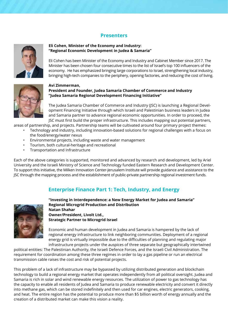## **Presenters**



## **Eli Cohen, Minister of the Economy and Industry: "Regional Economic Development in Judea & Samaria"**

Eli Cohen has been Minister of the Economy and Industry and Cabinet Member since 2017. The Minister has been chosen four consecutive times to the list of Israel's top 100 influencers of the economy. He has emphasized bringing large corporations to Israel, strengthening local industry, bringing high-tech companies to the periphery, opening factories, and reducing the cost of living.



## **Avi Zimmerman, President and Founder, Judea Samaria Chamber of Commerce and Industry "Judea Samaria Regional Development Financing Initiative"**

The Judea Samaria Chamber of Commerce and Industry (JSC) is launching a Regional Development Financing Initiative through which Israeli and Palestinian business leaders in Judea and Samaria partner to advance regional economic opportunities. In order to proceed, the JSC must first build the proper infrastructure. This includes mapping out potential partners,

areas of partnership, and projects. Partnership teams will be cultivated around four primary project themes:

- Technology and industry, including innovation-based solutions for regional challenges with a focus on the food/energy/water nexus
- Environmental projects, including waste and water management
- Tourism, both cultural-heritage and recreational
- Transportation and Infrastructure

Each of the above categories is supported, monitored and advanced by research and development, led by Ariel University and the Israeli Ministry of Science and Technology funded Eastern Research and Development Center. To support this initiative, the Milken Innovation Center-Jerusalem Institute will provide guidance and assistance to the JSC through the mapping process and the establishment of public-private partnership regional investment funds.

## **Enterprise Finance Part 1: Tech, Industry, and Energy**



**"Investing in Interdependence: a New Energy Market for Judea and Samaria" Regional Microgrid Production and Distribution Natan Shahar Owner/President, Livolt Ltd., Strategic Partner to Microgrid Israel**

Economic and human development in Judea and Samaria is hampered by the lack of regional energy infrastructure to link neighboring communities. Deployment of a regional energy grid is virtually impossible due to the difficulties of planning and regulating major infrastructure projects under the auspices of three separate but geographically intertwined

political entities: The Palestinian Authority, the Israeli Defence Forces, and the Israeli Civil Administration. The requirement for coordination among these three regimes in order to lay a gas pipeline or run an electrical transmission cable raises the cost and risk of potential projects.

This problem of a lack of infrastructure may be bypassed by utilizing distributed generation and blockchain technology to build a regional energy market that operates independently from all political oversight. Judea and Samaria is rich in solar and wind renewable energy resources. The utilization of power to gas technology has the capacity to enable all residents of Judea and Samaria to produce renewable electricity and convert it directly into methane gas, which can be stored indefinitely and then used for car engines, electric generators, cooking, and heat. The entire region has the potential to produce more than \$5 billion worth of energy annually and the creation of a distributed market can make this vision a reality.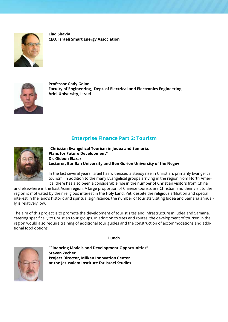

**Elad Shaviv CEO, Israeli Smart Energy Association**



**Professor Gady Golan Faculty of Engineering, Dept. of Electrical and Electronics Engineering, Ariel University, Israel**

# **Enterprise Finance Part 2: Tourism**



**"Christian Evangelical Tourism in Judea and Samaria: Plans for Future Development" Dr. Gideon Elazar Lecturer, Bar Ilan University and Ben Gurion University of the Negev**

In the last several years, Israel has witnessed a steady rise in Christian, primarily Evangelical, tourism. In addition to the many Evangelical groups arriving in the region from North America, there has also been a considerable rise in the number of Christian visitors from China

and elsewhere in the East Asian region. A large proportion of Chinese tourists are Christian and their visit to the region is motivated by their religious interest in the Holy Land. Yet, despite the religious affiliation and special interest in the land's historic and spiritual significance, the number of tourists visiting Judea and Samaria annually is relatively low.

The aim of this project is to promote the development of tourist sites and infrastructure in Judea and Samaria, catering specifically to Christian tour groups. In addition to sites and routes, the development of tourism in the region would also require training of additional tour guides and the construction of accommodations and additional food options.

**Lunch**



**"Financing Models and Development Opportunities" Steven Zecher Project Director, Milken Innovation Center at the Jerusalem Institute for Israel Studies**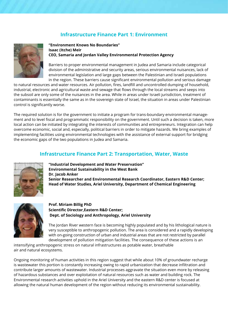# **Infrastructure Finance Part 1: Environment**



**"Environment Knows No Boundaries" Isaac (Itche) Meir CEO, Samaria and Jordan Valley Environmental Protection Agency**

Barriers to proper environmental management in Judea and Samaria include categorical division of the administrative and security areas, serious environmental nuisances, lack of environmental legislation and large gaps between the Palestinian and Israeli populations in the region. These barriers cause significant environmental pollution and serious damage

to natural resources and water resources. Air pollution, fires, landfill and uncontrolled dumping of household, industrial, electronic and agricultural waste and sewage that flows through the local streams and seeps into the subsoil are only some of the nuisances in the area. While in areas under Israeli jurisdiction, treatment of contaminants is essentially the same as in the sovereign state of Israel, the situation in areas under Palestinian control is significantly worse.

The required solution is for the government to initiate a program for trans-boundary environmental management and to level fiscal and programmatic responsibility on the government. Until such a decision is taken, more local action can be initiated by integrating the interests of communities and entrepreneurs. Integration can help overcome economic, social and, especially, political barriers in order to mitigate hazards. We bring examples of implementing facilities using environmental technologies with the assistance of external support for bridging the economic gaps of the two populations in Judea and Samaria.

## **Infrastructure Finance Part 2: Transportation, Water, Waste**



**"Industrial Development and Water Preservation" Environmental Sustainability in the West Bank Dr. Jacob Anker Senior Researcher and Environmental Research Coordinator, Eastern R&D Center; Head of Water Studies, Ariel University, Department of Chemical Engineering**



**Prof. Miriam Billig PhD Scientific Director,Eastern R&D Center; Dept. of Sociology and Anthropology, Ariel University**

The Jordan River western face is becoming highly populated and by his lithological nature is very susceptible to anthropogenic pollution. The area is considered and a rapidly developing with on-going construction of urban and industrial areas that are not restricted by parallel development of pollution mitigation facilities. The consequence of these actions is an

intensifying anthropogenic stress on natural infrastructures as potable water, breathable air and natural ecosystems.

Ongoing monitoring of human activities in this region suggest that while about 10% of groundwater recharge is wastewater this portion is constantly increasing owing to rapid urbanization that decrease infiltration and contribute larger amounts of wastewater. Industrial processes aggravate the situation even more by releasing of hazardous substances and over exploitation of natural resources such as water and building rock. The Environmental research activities uphold in the Ariel University and the eastern R&D center is focused at allowing the natural human development of the region without reducing its environmental sustainability.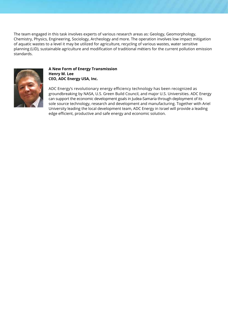The team engaged in this task involves experts of various research areas as: Geology, Geomorphology, Chemistry, Physics, Engineering, Sociology, Archeology and more. The operation involves low impact mitigation of aquatic wastes to a level it may be utilized for agriculture, recycling of various wastes, water sensitive planning (LID), sustainable agriculture and modification of traditional métiers for the current pollution emission standards.



## **A New Form of Energy Transmission Henry M. Lee CEO, ADC Energy USA, Inc.**

ADC Energy's revolutionary energy efficiency technology has been recognized as groundbreaking by NASA, U.S. Green Build Council, and major U.S. Universities. ADC Energy can support the economic development goals in Judea-Samaria through deployment of its sole source technology, research and development and manufacturing. Together with Ariel University leading the local development team, ADC Energy in Israel will provide a leading edge efficient, productive and safe energy and economic solution.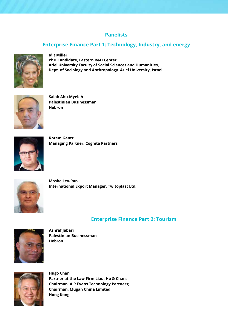# **Panelists**

# **Enterprise Finance Part 1: Technology, Industry, and energy**



**Idit Miller PhD Candidate, Eastern R&D Center, Ariel University Faculty of Social Sciences and Humanities, Dept. of Sociology and Anthropology Ariel University, Israel**



**Salah Abu-Myeleh Palestinian Businessman Hebron**



**Rotem Gantz Managing Partner, Cognita Partners**



**Moshe Lev-Ran International Export Manager, Twitoplast Ltd.**

# **Enterprise Finance Part 2: Tourism**



**Ashraf Jabari Palestinian Businessman Hebron**



**Hugo Chan Partner at the Law Firm Liau, Ho & Chan; Chairman, A R Evans Technology Partners; Chairman, Mugan China Limited Hong Kong**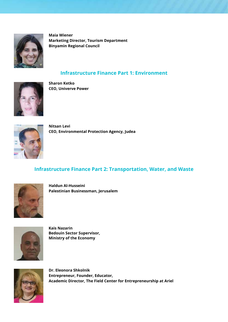

**Maia Wiener Marketing Director, Tourism Department Binyamin Regional Council**

# **Infrastructure Finance Part 1: Environment**



**Sharon Ketko CEO, Univerve Power**



**Nitsan Levi CEO, Environmental Protection Agency, Judea**

# **Infrastructure Finance Part 2: Transportation, Water, and Waste**



**Haldun Al-Husseini Palestinian Businessman, Jerusalem**



**Kais Nazarin Bedouin Sector Supervisor, Ministry of the Economy**



**Dr. Eleonora Shkolnik Entrepreneur, Founder, Educator, Academic Director, The Field Center for Entrepreneurship at Ariel**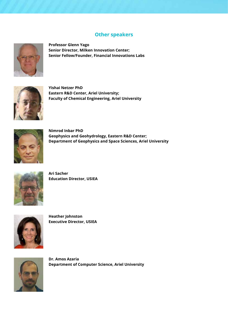# **Other speakers**



**Professor Glenn Yago Senior Director, Milken Innovation Center; Senior Fellow/Founder, Financial Innovations Labs**



**Yishai Netzer PhD Eastern R&D Center, Ariel University; Faculty of Chemical Engineering, Ariel University**



**Nimrod Inbar PhD Geophysics and Geohydrology, Eastern R&D Center; Department of Geophysics and Space Sciences, Ariel University**



**Ari Sacher Education Director, USIEA**



**Heather Johnston Executive Director, USIEA**



**Dr. Amos Azaria Department of Computer Science, Ariel University**